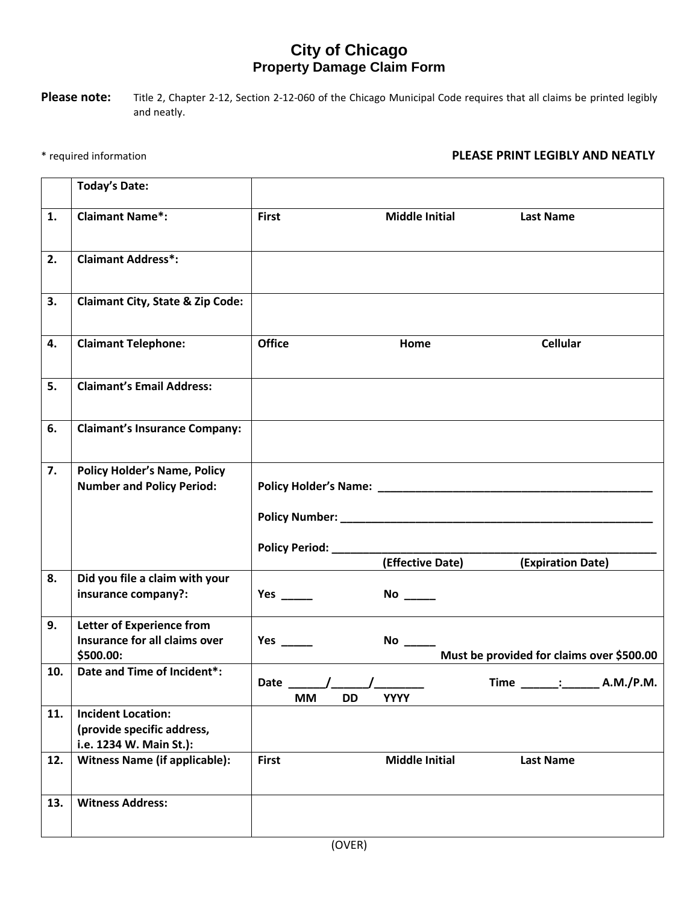## **City of Chicago Property Damage Claim Form**

Please note: Title 2, Chapter 2-12, Section 2-12-060 of the Chicago Municipal Code requires that all claims be printed legibly and neatly.

## \* required information **PLEASE PRINT LEGIBLY AND NEATLY**

|                | <b>Today's Date:</b>                                                               |                                                                    |
|----------------|------------------------------------------------------------------------------------|--------------------------------------------------------------------|
| $\mathbf{1}$ . | <b>Claimant Name*:</b>                                                             | <b>First</b><br><b>Middle Initial</b><br><b>Last Name</b>          |
| 2.             | <b>Claimant Address*:</b>                                                          |                                                                    |
| 3.             | <b>Claimant City, State &amp; Zip Code:</b>                                        |                                                                    |
| 4.             | <b>Claimant Telephone:</b>                                                         | <b>Office</b><br><b>Cellular</b><br>Home                           |
| 5.             | <b>Claimant's Email Address:</b>                                                   |                                                                    |
| 6.             | <b>Claimant's Insurance Company:</b>                                               |                                                                    |
| 7.             | <b>Policy Holder's Name, Policy</b><br><b>Number and Policy Period:</b>            |                                                                    |
|                |                                                                                    | Policy Period: __________<br>(Effective Date)<br>(Expiration Date) |
| 8.             | Did you file a claim with your<br>insurance company?:                              |                                                                    |
| 9.             | <b>Letter of Experience from</b><br>Insurance for all claims over<br>\$500.00:     | Must be provided for claims over \$500.00                          |
| 10.            | Date and Time of Incident*:                                                        | Time: A.M./P.M.<br>Date / /<br><b>MM</b><br><b>YYYY</b><br>DD      |
| 11.            | <b>Incident Location:</b><br>(provide specific address,<br>i.e. 1234 W. Main St.): |                                                                    |
| 12.            | <b>Witness Name (if applicable):</b>                                               | <b>Middle Initial</b><br><b>First</b><br><b>Last Name</b>          |
| 13.            | <b>Witness Address:</b>                                                            |                                                                    |